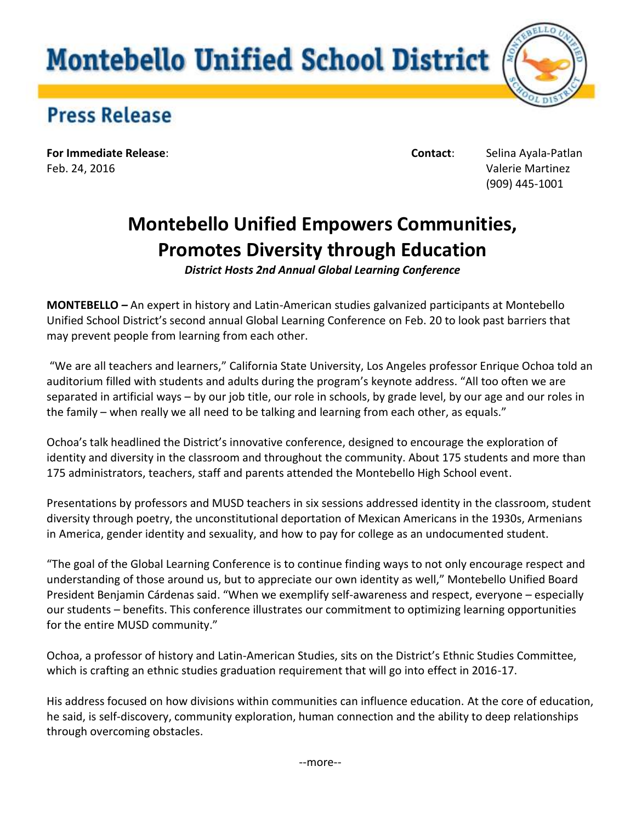## **Montebello Unified School District**



## **Press Release**

**For Immediate Release**: **Contact**: Selina Ayala-Patlan Feb. 24, 2016 Valerie Martinez

(909) 445-1001

## **Montebello Unified Empowers Communities, Promotes Diversity through Education**

*District Hosts 2nd Annual Global Learning Conference*

**MONTEBELLO** *–* An expert in history and Latin-American studies galvanized participants at Montebello Unified School District's second annual Global Learning Conference on Feb. 20 to look past barriers that may prevent people from learning from each other.

"We are all teachers and learners," California State University, Los Angeles professor Enrique Ochoa told an auditorium filled with students and adults during the program's keynote address. "All too often we are separated in artificial ways – by our job title, our role in schools, by grade level, by our age and our roles in the family – when really we all need to be talking and learning from each other, as equals."

Ochoa's talk headlined the District's innovative conference, designed to encourage the exploration of identity and diversity in the classroom and throughout the community. About 175 students and more than 175 administrators, teachers, staff and parents attended the Montebello High School event.

Presentations by professors and MUSD teachers in six sessions addressed identity in the classroom, student diversity through poetry, the unconstitutional deportation of Mexican Americans in the 1930s, Armenians in America, gender identity and sexuality, and how to pay for college as an undocumented student.

"The goal of the Global Learning Conference is to continue finding ways to not only encourage respect and understanding of those around us, but to appreciate our own identity as well," Montebello Unified Board President Benjamin Cárdenas said. "When we exemplify self-awareness and respect, everyone – especially our students – benefits. This conference illustrates our commitment to optimizing learning opportunities for the entire MUSD community."

Ochoa, a professor of history and Latin-American Studies, sits on the District's Ethnic Studies Committee, which is crafting an ethnic studies graduation requirement that will go into effect in 2016-17.

His address focused on how divisions within communities can influence education. At the core of education, he said, is self-discovery, community exploration, human connection and the ability to deep relationships through overcoming obstacles.